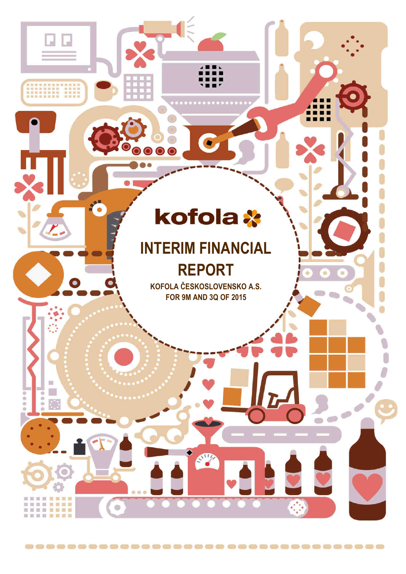# kofola \*

 $\bullet\bullet\bullet$ 

 $\bullet$ 

I

----**----**

**MAY 18 MM** 

 $m = m$ 

 $0.000$ P.

 $\frac{1}{2}$ 

ä

## **INTERIM FINANCIAL REPORT**

**KOFOLA ČESKOSLOVENSKO A.S. FOR 9M AND 3Q OF 2015**

SW

------------------------------------

 $0.0.0$ 

Ö

 $\overline{\mathbb{C}}$  .

 $\sum_{n=1}^{\infty}$ 

 $\bigcirc$ 

 $\mathbf{C}$ 

Ó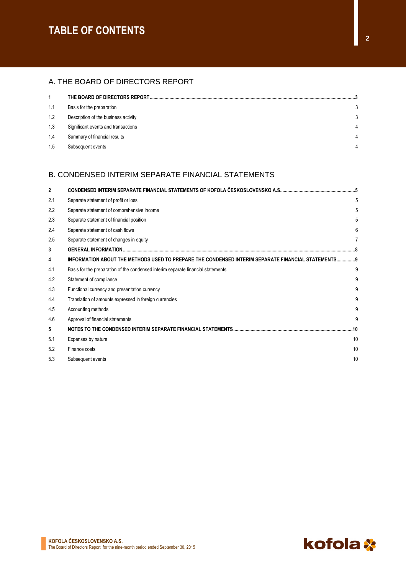### **TABLE OF CONTENTS**

#### A. THE BOARD OF DIRECTORS REPORT

| 1   | THE BOARD OF DIRECTORS REPORT        |   |
|-----|--------------------------------------|---|
| 1.1 | Basis for the preparation            |   |
| 1.2 | Description of the business activity |   |
| 1.3 | Significant events and transactions  | 4 |
| 1.4 | Summary of financial results         | 4 |
| 1.5 | Subsequent events                    | Δ |

#### B. CONDENSED INTERIM SEPARATE FINANCIAL STATEMENTS

| $\mathbf{2}$ |                                                                                                    |     |
|--------------|----------------------------------------------------------------------------------------------------|-----|
| 2.1          | Separate statement of profit or loss                                                               | 5   |
| 2.2          | Separate statement of comprehensive income                                                         | 5   |
| 2.3          | Separate statement of financial position                                                           | 5   |
| 2.4          | Separate statement of cash flows                                                                   | 6   |
| 2.5          | Separate statement of changes in equity                                                            | 7   |
| 3            |                                                                                                    |     |
| 4            | INFORMATION ABOUT THE METHODS USED TO PREPARE THE CONDENSED INTERIM SEPARATE FINANCIAL STATEMENTS9 |     |
| 4.1          | Basis for the preparation of the condensed interim separate financial statements                   | 9   |
| 4.2          | Statement of compliance                                                                            | 9   |
| 4.3          | Functional currency and presentation currency                                                      | 9   |
| 4.4          | Translation of amounts expressed in foreign currencies                                             | 9   |
| 4.5          | Accounting methods                                                                                 | 9   |
| 4.6          | Approval of financial statements                                                                   | 9   |
| 5            |                                                                                                    | .10 |
| 5.1          | Expenses by nature                                                                                 | 10  |
| 5.2          | Finance costs                                                                                      | 10  |
| 5.3          | Subsequent events                                                                                  | 10  |

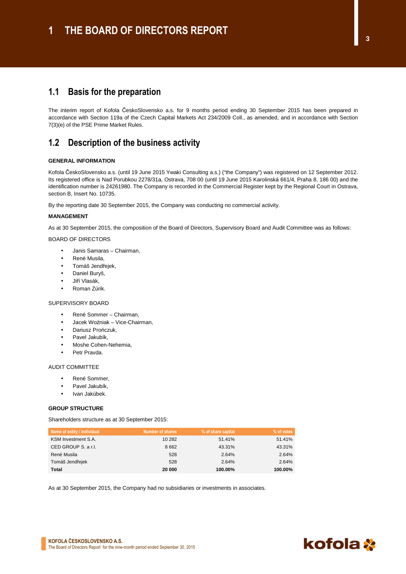The interim report of Kofola ČeskoSlovensko a.s. for 9 months period ending 30 September 2015 has been prepared in accordance with Section 119a of the Czech Capital Markets Act 234/2009 Coll., as amended, and in accordance with Section 7(3)(e) of the PSE Prime Market Rules.

#### **1.2 Description of the business activity**

#### **GENERAL INFORMATION**

Kofola ČeskoSlovensko a.s. (until 19 June 2015 Ywaki Consulting a.s.) ("the Company") was registered on 12 September 2012. Its registered office is Nad Porubkou 2278/31a, Ostrava, 708 00 (until 19 June 2015 Karolinská 661/4, Praha 8, 186 00) and the identification number is 24261980. The Company is recorded in the Commercial Register kept by the Regional Court in Ostrava, section B, Insert No. 10735.

By the reporting date 30 September 2015, the Company was conducting no commercial activity.

#### **MANAGEMENT**

As at 30 September 2015, the composition of the Board of Directors, Supervisory Board and Audit Committee was as follows:

#### BOARD OF DIRECTORS

- Janis Samaras Chairman,
- René Musila,
	- Tomáš Jendřejek,
	- Daniel Buryš,
	- Jiří Vlasák,
- Roman Zúrik.

#### SUPERVISORY BOARD

- René Sommer Chairman,
- Jacek Woźniak Vice-Chairman,
- Dariusz Prończuk,
- Pavel Jakubík,
- Moshe Cohen-Nehemia,
- Petr Pravda.

#### AUDIT COMMITTEE

- René Sommer,
- Pavel Jakubík.
- Ivan Jakúbek.

#### **GROUP STRUCTURE**

Shareholders structure as at 30 September 2015:

| Name of entity / individual | Number of shares | % of share capital | % of votes |
|-----------------------------|------------------|--------------------|------------|
| KSM Investment S.A.         | 10 282           | 51.41%             | 51.41%     |
| CED GROUP S. a r.l.         | 8662             | 43.31%             | 43.31%     |
| René Musila                 | 528              | 2.64%              | 2.64%      |
| Tomáš Jendřejek             | 528              | 2.64%              | 2.64%      |
| Total                       | 20 000           | 100.00%            | 100.00%    |

As at 30 September 2015, the Company had no subsidiaries or investments in associates.

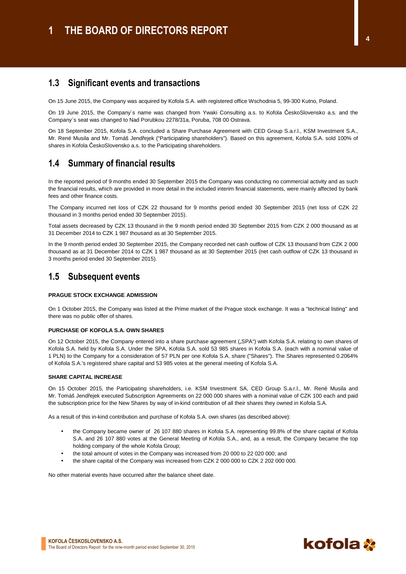#### **1.3 Significant events and transactions**

On 15 June 2015, the Company was acquired by Kofola S.A. with registered office Wschodnia 5, 99-300 Kutno, Poland.

On 19 June 2015, the Company´s name was changed from Ywaki Consulting a.s. to Kofola ČeskoSlovensko a.s. and the Company´s seat was changed to Nad Porubkou 2278/31a, Poruba, 708 00 Ostrava.

On 18 September 2015, Kofola S.A. concluded a Share Purchase Agreement with CED Group S.a.r.l., KSM Investment S.A., Mr. René Musila and Mr. Tomáš Jendřejek ("Participating shareholders"). Based on this agreement, Kofola S.A. sold 100% of shares in Kofola ČeskoSlovensko a.s. to the Participating shareholders.

### **1.4 Summary of financial results**

In the reported period of 9 months ended 30 September 2015 the Company was conducting no commercial activity and as such the financial results, which are provided in more detail in the included interim financial statements, were mainly affected by bank fees and other finance costs.

The Company incurred net loss of CZK 22 thousand for 9 months period ended 30 September 2015 (net loss of CZK 22 thousand in 3 months period ended 30 September 2015).

Total assets decreased by CZK 13 thousand in the 9 month period ended 30 September 2015 from CZK 2 000 thousand as at 31 December 2014 to CZK 1 987 thousand as at 30 September 2015.

In the 9 month period ended 30 September 2015, the Company recorded net cash outflow of CZK 13 thousand from CZK 2 000 thousand as at 31 December 2014 to CZK 1 987 thousand as at 30 September 2015 (net cash outflow of CZK 13 thousand in 3 months period ended 30 September 2015).

#### **1.5 Subsequent events**

#### **PRAGUE STOCK EXCHANGE ADMISSION**

On 1 October 2015, the Company was listed at the Prime market of the Prague stock exchange. It was a "technical listing" and there was no public offer of shares.

#### **PURCHASE OF KOFOLA S.A. OWN SHARES**

On 12 October 2015, the Company entered into a share purchase agreement ("SPA") with Kofola S.A. relating to own shares of Kofola S.A. held by Kofola S.A. Under the SPA, Kofola S.A. sold 53 985 shares in Kofola S.A. (each with a nominal value of 1 PLN) to the Company for a consideration of 57 PLN per one Kofola S.A. share ("Shares"). The Shares represented 0.2064% of Kofola S.A.'s registered share capital and 53 985 votes at the general meeting of Kofola S.A.

#### **SHARE CAPITAL INCREASE**

On 15 October 2015, the Participating shareholders, i.e. KSM Investment SA, CED Group S.a.r.l., Mr. René Musila and Mr. Tomáš Jendřejek executed Subscription Agreements on 22 000 000 shares with a nominal value of CZK 100 each and paid the subscription price for the New Shares by way of in-kind contribution of all their shares they owned in Kofola S.A.

As a result of this in-kind contribution and purchase of Kofola S.A. own shares (as described above):

- the Company became owner of 26 107 880 shares in Kofola S.A. representing 99.8% of the share capital of Kofola S.A. and 26 107 880 votes at the General Meeting of Kofola S.A., and, as a result, the Company became the top holding company of the whole Kofola Group;
- the total amount of votes in the Company was increased from 20 000 to 22 020 000; and
- the share capital of the Company was increased from CZK 2 000 000 to CZK 2 202 000 000.

No other material events have occurred after the balance sheet date.

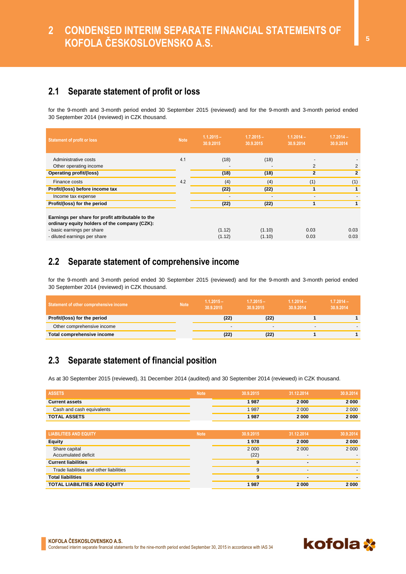### **2.1 Separate statement of profit or loss**

for the 9-month and 3-month period ended 30 September 2015 (reviewed) and for the 9-month and 3-month period ended 30 September 2014 (reviewed) in CZK thousand.

| <b>Statement of profit or loss</b>                                                                                                                               | <b>Note</b> | $1.1.2015 -$<br>30.9.2015 | $1.7.2015 -$<br>30.9.2015 | $1.1.2014 -$<br>30.9.2014 | $1.7.2014 -$<br>30.9.2014 |
|------------------------------------------------------------------------------------------------------------------------------------------------------------------|-------------|---------------------------|---------------------------|---------------------------|---------------------------|
| Administrative costs                                                                                                                                             | 4.1         | (18)                      | (18)                      |                           |                           |
| Other operating income                                                                                                                                           |             |                           |                           | 2                         | 2                         |
| Operating profit/(loss)                                                                                                                                          |             | (18)                      | (18)                      | $\overline{2}$            | $\mathbf{2}$              |
| Finance costs                                                                                                                                                    | 4.2         | (4)                       | (4)                       | (1)                       | (1)                       |
| Profit/(loss) before income tax                                                                                                                                  |             | (22)                      | (22)                      |                           | $\mathbf{1}$              |
| Income tax expense                                                                                                                                               |             |                           |                           |                           |                           |
| Profit/(loss) for the period                                                                                                                                     |             | (22)                      | (22)                      |                           |                           |
| Earnings per share for profit attributable to the<br>ordinary equity holders of the company (CZK):<br>- basic earnings per share<br>- diluted earnings per share |             | (1.12)<br>(1.12)          | (1.10)<br>(1.10)          | 0.03<br>0.03              | 0.03<br>0.03              |

### **2.2 Separate statement of comprehensive income**

for the 9-month and 3-month period ended 30 September 2015 (reviewed) and for the 9-month and 3-month period ended 30 September 2014 (reviewed) in CZK thousand.

| Statement of other comprehensive income | <b>Note</b> | $1.1.2015 -$<br>30.9.2015 | $1.7.2015 -$<br>30.9.2015 | $1.1.2014 -$<br>30.9.2014 | $1.7.2014 -$<br>30.9.2014 |
|-----------------------------------------|-------------|---------------------------|---------------------------|---------------------------|---------------------------|
| Profit/(loss) for the period            |             | (22)                      | (22)                      |                           |                           |
| Other comprehensive income              |             |                           | -                         | -                         |                           |
| Total comprehensive income              |             | (22)                      | (22)                      |                           |                           |

### **2.3 Separate statement of financial position**

As at 30 September 2015 (reviewed), 31 December 2014 (audited) and 30 September 2014 (reviewed) in CZK thousand.

| <b>ASSETS</b>                           | <b>Note</b> | 30.9.2015 | 31.12.2014               | 30.9.2014 |
|-----------------------------------------|-------------|-----------|--------------------------|-----------|
| <b>Current assets</b>                   |             | 1987      | 2000                     | 2000      |
| Cash and cash equivalents               |             | 1987      | 2 0 0 0                  | 2 0 0 0   |
| <b>TOTAL ASSETS</b>                     |             | 1987      | 2000                     | 2000      |
|                                         |             |           |                          |           |
| <b>LIABILITIES AND EQUITY</b>           | <b>Note</b> | 30.9.2015 | 31.12.2014               | 30.9.2014 |
| <b>Equity</b>                           |             | 1978      | 2000                     | 2000      |
| Share capital                           |             | 2000      | 2 0 0 0                  | 2 0 0 0   |
| Accumulated deficit                     |             | (22)      | $\overline{\phantom{a}}$ |           |
| <b>Current liabilities</b>              |             | 9         | -                        |           |
| Trade liabilities and other liabilities |             | 9         | $\overline{\phantom{a}}$ |           |
| <b>Total liabilities</b>                |             | 9         | -                        |           |
| <b>TOTAL LIABILITIES AND EQUITY</b>     |             | 1987      | 2000                     | 2000      |

kofola **\***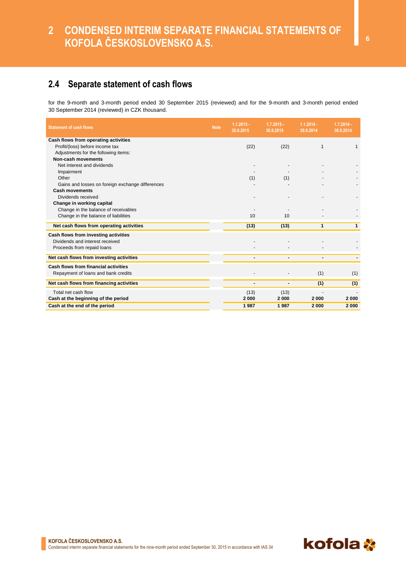### **2.4 Separate statement of cash flows**

for the 9-month and 3-month period ended 30 September 2015 (reviewed) and for the 9-month and 3-month period ended 30 September 2014 (reviewed) in CZK thousand.

| <b>Statement of cash flows</b>                   | <b>Note</b> | $1.1.2015 -$<br>30.9.2015 | $1.7.2015 -$<br>30.9.2015 | $1.1.2014 -$<br>30.9.2014 | $1.7.2014 -$<br>30.9.2014 |
|--------------------------------------------------|-------------|---------------------------|---------------------------|---------------------------|---------------------------|
| Cash flows from operating activities             |             |                           |                           |                           |                           |
| Profit/(loss) before income tax                  |             | (22)                      | (22)                      | $\mathbf 1$               |                           |
| Adjustments for the following items:             |             |                           |                           |                           |                           |
| Non-cash movements                               |             |                           |                           |                           |                           |
| Net interest and dividends                       |             |                           |                           |                           |                           |
| Impairment                                       |             |                           |                           |                           |                           |
| Other                                            |             | (1)                       | (1)                       |                           |                           |
| Gains and losses on foreign exchange differences |             |                           |                           |                           |                           |
| <b>Cash movements</b>                            |             |                           |                           |                           |                           |
| Dividends received                               |             |                           |                           |                           |                           |
| Change in working capital                        |             |                           |                           |                           |                           |
| Change in the balance of receivables             |             |                           |                           |                           |                           |
| Change in the balance of liabilities             |             | 10                        | 10                        |                           |                           |
| Net cash flows from operating activities         |             | (13)                      | (13)                      | $\mathbf{1}$              | $\mathbf{1}$              |
| Cash flows from investing activities             |             |                           |                           |                           |                           |
| Dividends and interest received                  |             |                           |                           |                           |                           |
| Proceeds from repaid loans                       |             |                           |                           |                           |                           |
| Net cash flows from investing activities         |             |                           |                           |                           |                           |
| Cash flows from financial activities             |             |                           |                           |                           |                           |
| Repayment of loans and bank credits              |             |                           |                           | (1)                       | (1)                       |
| Net cash flows from financing activities         |             |                           | $\blacksquare$            | (1)                       | (1)                       |
| Total net cash flow                              |             | (13)                      | (13)                      |                           |                           |
| Cash at the beginning of the period              |             | 2000                      | 2000                      | 2000                      | 2000                      |
| Cash at the end of the period                    |             | 1987                      | 1987                      | 2000                      | 2000                      |

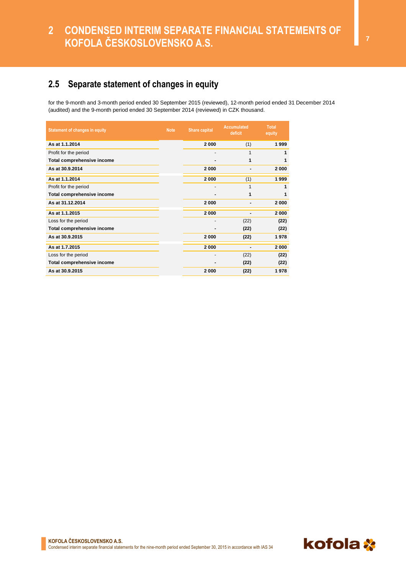### **2 CONDENSED INTERIM SEPARATE FINANCIAL STATEMENTS OF KOFOLA ČESKOSLOVENSKO A.S.**

### **2.5 Separate statement of changes in equity**

for the 9-month and 3-month period ended 30 September 2015 (reviewed), 12-month period ended 31 December 2014 (audited) and the 9-month period ended 30 September 2014 (reviewed) in CZK thousand.

| <b>Statement of changes in equity</b> | <b>Note</b> | <b>Share capital</b> | <b>Accumulated</b><br>deficit | <b>Total</b><br>equity |
|---------------------------------------|-------------|----------------------|-------------------------------|------------------------|
| As at 1.1.2014                        |             | 2000                 | (1)                           | 1999                   |
| Profit for the period                 |             |                      | 1                             | 1                      |
| Total comprehensive income            |             |                      | 1                             | 1                      |
| As at 30.9.2014                       |             | 2000                 | $\blacksquare$                | 2000                   |
| As at 1.1.2014                        |             | 2000                 | (1)                           | 1999                   |
| Profit for the period                 |             |                      | 1                             | 1                      |
| Total comprehensive income            |             |                      | 1                             | 1                      |
| As at 31.12.2014                      |             | 2000                 | ۰                             | 2000                   |
| As at 1.1.2015                        |             | 2000                 | $\blacksquare$                | 2000                   |
| Loss for the period                   |             |                      | (22)                          | (22)                   |
| Total comprehensive income            |             |                      | (22)                          | (22)                   |
| As at 30.9.2015                       |             | 2000                 | (22)                          | 1978                   |
| As at 1.7.2015                        |             | 2000                 | $\blacksquare$                | 2000                   |
| Loss for the period                   |             |                      | (22)                          | (22)                   |
| Total comprehensive income            |             |                      | (22)                          | (22)                   |
| As at 30.9.2015                       |             | 2000                 | (22)                          | 1978                   |

**KOFOLA ČESKOSLOVENSKO A.S.**  Condensed interim separate financial statements for the nine-month period ended September 30, 2015 in accordance with IAS 34

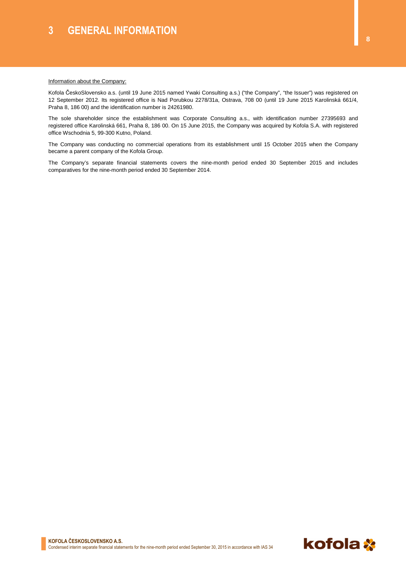#### **Information about the Company:**

Kofola ČeskoSlovensko a.s. (until 19 June 2015 named Ywaki Consulting a.s.) ("the Company", "the Issuer") was registered on 12 September 2012. Its registered office is Nad Porubkou 2278/31a, Ostrava, 708 00 (until 19 June 2015 Karolinská 661/4, Praha 8, 186 00) and the identification number is 24261980.

The sole shareholder since the establishment was Corporate Consulting a.s., with identification number 27395693 and registered office Karolinská 661, Praha 8, 186 00. On 15 June 2015, the Company was acquired by Kofola S.A. with registered office Wschodnia 5, 99-300 Kutno, Poland.

The Company was conducting no commercial operations from its establishment until 15 October 2015 when the Company became a parent company of the Kofola Group.

The Company's separate financial statements covers the nine-month period ended 30 September 2015 and includes comparatives for the nine-month period ended 30 September 2014.

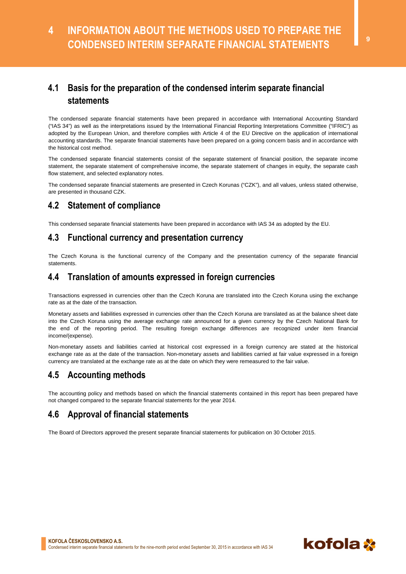### **4.1 Basis for the preparation of the condensed interim separate financial statements**

The condensed separate financial statements have been prepared in accordance with International Accounting Standard ("IAS 34") as well as the interpretations issued by the International Financial Reporting Interpretations Committee ("IFRIC") as adopted by the European Union, and therefore complies with Article 4 of the EU Directive on the application of international accounting standards. The separate financial statements have been prepared on a going concern basis and in accordance with the historical cost method.

The condensed separate financial statements consist of the separate statement of financial position, the separate income statement, the separate statement of comprehensive income, the separate statement of changes in equity, the separate cash flow statement, and selected explanatory notes.

The condensed separate financial statements are presented in Czech Korunas ("CZK"), and all values, unless stated otherwise, are presented in thousand CZK.

### **4.2 Statement of compliance**

This condensed separate financial statements have been prepared in accordance with IAS 34 as adopted by the EU.

#### **4.3 Functional currency and presentation currency**

The Czech Koruna is the functional currency of the Company and the presentation currency of the separate financial statements.

### **4.4 Translation of amounts expressed in foreign currencies**

Transactions expressed in currencies other than the Czech Koruna are translated into the Czech Koruna using the exchange rate as at the date of the transaction.

Monetary assets and liabilities expressed in currencies other than the Czech Koruna are translated as at the balance sheet date into the Czech Koruna using the average exchange rate announced for a given currency by the Czech National Bank for the end of the reporting period. The resulting foreign exchange differences are recognized under item financial income/(expense).

Non-monetary assets and liabilities carried at historical cost expressed in a foreign currency are stated at the historical exchange rate as at the date of the transaction. Non-monetary assets and liabilities carried at fair value expressed in a foreign currency are translated at the exchange rate as at the date on which they were remeasured to the fair value.

### **4.5 Accounting methods**

The accounting policy and methods based on which the financial statements contained in this report has been prepared have not changed compared to the separate financial statements for the year 2014.

### **4.6 Approval of financial statements**

The Board of Directors approved the present separate financial statements for publication on 30 October 2015.

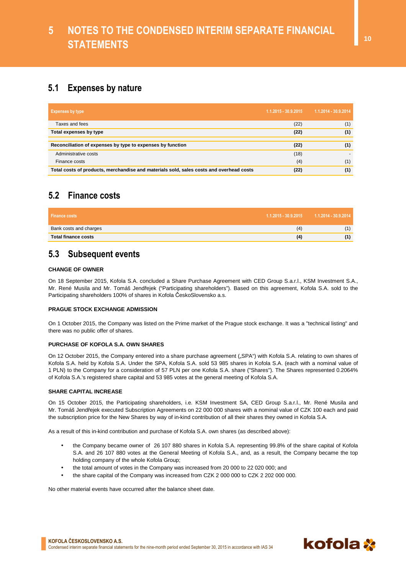### **5.1 Expenses by nature**

| <b>Expenses by type</b>                                                                 | 1.1.2015 - 30.9.2015 | 1.1.2014 - 30.9.2014 |
|-----------------------------------------------------------------------------------------|----------------------|----------------------|
| Taxes and fees                                                                          | (22)                 | (1)                  |
| Total expenses by type                                                                  | (22)                 | (1)                  |
|                                                                                         |                      |                      |
| Reconciliation of expenses by type to expenses by function                              | (22)                 | (1)                  |
| Administrative costs                                                                    | (18)                 |                      |
| Finance costs                                                                           | (4)                  | (1)                  |
| Total costs of products, merchandise and materials sold, sales costs and overhead costs | (22)                 | (1)                  |

### **5.2 Finance costs**

| <b>Finance costs</b>       | $1.1.2015 - 30.9.2015$ $1.1.2014 - 30.9.2014$ |
|----------------------------|-----------------------------------------------|
| Bank costs and charges     |                                               |
| <b>Total finance costs</b> |                                               |

### **5.3 Subsequent events**

#### **CHANGE OF OWNER**

On 18 September 2015, Kofola S.A. concluded a Share Purchase Agreement with CED Group S.a.r.l., KSM Investment S.A., Mr. René Musila and Mr. Tomáš Jendřejek ("Participating shareholders"). Based on this agreement, Kofola S.A. sold to the Participating shareholders 100% of shares in Kofola ČeskoSlovensko a.s.

#### **PRAGUE STOCK EXCHANGE ADMISSION**

On 1 October 2015, the Company was listed on the Prime market of the Prague stock exchange. It was a "technical listing" and there was no public offer of shares.

#### **PURCHASE OF KOFOLA S.A. OWN SHARES**

On 12 October 2015, the Company entered into a share purchase agreement ("SPA") with Kofola S.A. relating to own shares of Kofola S.A. held by Kofola S.A. Under the SPA, Kofola S.A. sold 53 985 shares in Kofola S.A. (each with a nominal value of 1 PLN) to the Company for a consideration of 57 PLN per one Kofola S.A. share ("Shares"). The Shares represented 0.2064% of Kofola S.A.'s registered share capital and 53 985 votes at the general meeting of Kofola S.A.

#### **SHARE CAPITAL INCREASE**

On 15 October 2015, the Participating shareholders, i.e. KSM Investment SA, CED Group S.a.r.l., Mr. René Musila and Mr. Tomáš Jendřejek executed Subscription Agreements on 22 000 000 shares with a nominal value of CZK 100 each and paid the subscription price for the New Shares by way of in-kind contribution of all their shares they owned in Kofola S.A.

As a result of this in-kind contribution and purchase of Kofola S.A. own shares (as described above):

- the Company became owner of 26 107 880 shares in Kofola S.A. representing 99.8% of the share capital of Kofola S.A. and 26 107 880 votes at the General Meeting of Kofola S.A., and, as a result, the Company became the top holding company of the whole Kofola Group;
- the total amount of votes in the Company was increased from 20 000 to 22 020 000; and
- the share capital of the Company was increased from CZK 2 000 000 to CZK 2 202 000 000.

No other material events have occurred after the balance sheet date.

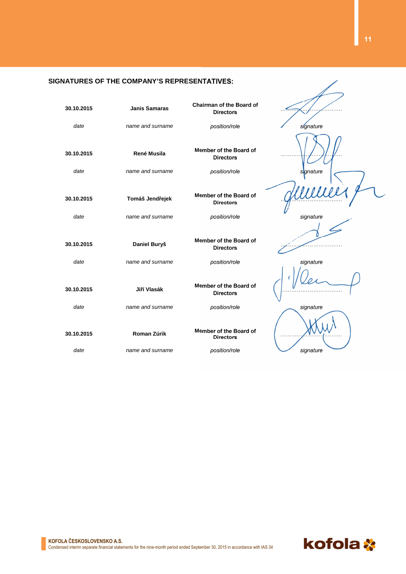#### **SIGNATURES OF THE COMPANY'S REPRESENTATIVES:**

| 30.10.2015 | <b>Janis Samaras</b> | <b>Chairman of the Board of</b><br><b>Directors</b> |           |
|------------|----------------------|-----------------------------------------------------|-----------|
| date       | name and surname     | position/role                                       | signature |
| 30.10.2015 | <b>René Musila</b>   | Member of the Board of<br><b>Directors</b>          |           |
| date       | name and surname     | position/role                                       | signature |
| 30.10.2015 | Tomáš Jendřejek      | Member of the Board of<br><b>Directors</b>          |           |
| date       | name and surname     | position/role                                       | signature |
|            |                      |                                                     |           |
| 30.10.2015 | Daniel Buryš         | Member of the Board of<br><b>Directors</b>          |           |
| date       | name and surname     | position/role                                       | signature |
| 30.10.2015 | Jiří Vlasák          | Member of the Board of<br><b>Directors</b>          |           |
| date       | name and surname     | position/role                                       | signature |
| 30.10.2015 | Roman Zúrik          | Member of the Board of<br><b>Directors</b>          |           |
| date       | name and surname     | position/role                                       | signature |



∕